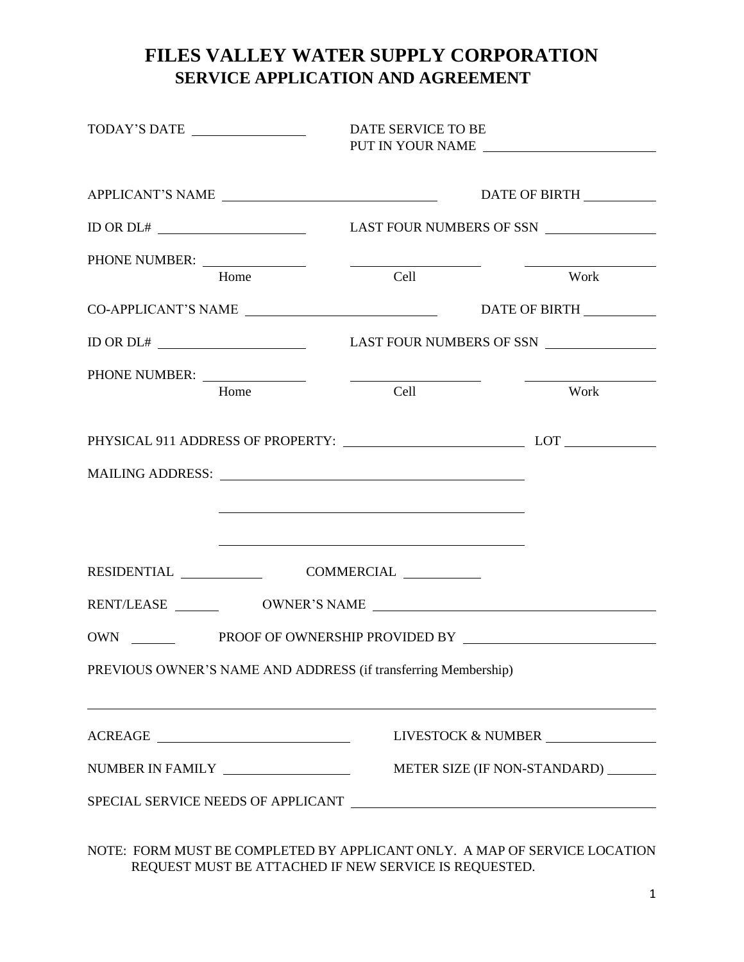## **FILES VALLEY WATER SUPPLY CORPORATION SERVICE APPLICATION AND AGREEMENT**

|                                   | TODAY'S DATE                                                                                                                                                                                                                                                                                                                                                                                                                                                                                       | DATE SERVICE TO BE |                                      | PUT IN YOUR NAME   |  |
|-----------------------------------|----------------------------------------------------------------------------------------------------------------------------------------------------------------------------------------------------------------------------------------------------------------------------------------------------------------------------------------------------------------------------------------------------------------------------------------------------------------------------------------------------|--------------------|--------------------------------------|--------------------|--|
|                                   | APPLICANT'S NAME                                                                                                                                                                                                                                                                                                                                                                                                                                                                                   |                    |                                      | DATE OF BIRTH      |  |
|                                   |                                                                                                                                                                                                                                                                                                                                                                                                                                                                                                    |                    |                                      |                    |  |
|                                   | Home                                                                                                                                                                                                                                                                                                                                                                                                                                                                                               | Cell               |                                      | Work               |  |
|                                   |                                                                                                                                                                                                                                                                                                                                                                                                                                                                                                    |                    |                                      |                    |  |
|                                   |                                                                                                                                                                                                                                                                                                                                                                                                                                                                                                    |                    |                                      | DATE OF BIRTH      |  |
|                                   |                                                                                                                                                                                                                                                                                                                                                                                                                                                                                                    |                    |                                      |                    |  |
|                                   |                                                                                                                                                                                                                                                                                                                                                                                                                                                                                                    |                    |                                      |                    |  |
|                                   | Home                                                                                                                                                                                                                                                                                                                                                                                                                                                                                               | Cell               |                                      | Work               |  |
|                                   |                                                                                                                                                                                                                                                                                                                                                                                                                                                                                                    |                    |                                      |                    |  |
|                                   |                                                                                                                                                                                                                                                                                                                                                                                                                                                                                                    |                    |                                      |                    |  |
|                                   |                                                                                                                                                                                                                                                                                                                                                                                                                                                                                                    |                    |                                      |                    |  |
|                                   | <u> 1989 - Johann Barbara, martxa alemaniar argametria (h. 1989).</u>                                                                                                                                                                                                                                                                                                                                                                                                                              |                    |                                      |                    |  |
|                                   | $\begin{tabular}{c} \bf{RESIDENTIAL} \end{tabular} \begin{tabular}{c} \bf{COMMERCIAL} \end{tabular} \begin{tabular}{c} \bf{COMMERCIAL} \end{tabular} \end{tabular}$                                                                                                                                                                                                                                                                                                                                |                    |                                      |                    |  |
|                                   |                                                                                                                                                                                                                                                                                                                                                                                                                                                                                                    |                    |                                      |                    |  |
|                                   |                                                                                                                                                                                                                                                                                                                                                                                                                                                                                                    |                    |                                      |                    |  |
|                                   | PREVIOUS OWNER'S NAME AND ADDRESS (if transferring Membership)                                                                                                                                                                                                                                                                                                                                                                                                                                     |                    |                                      |                    |  |
|                                   | ${\bf ACKEAGE} \begin{tabular}{c} \multicolumn{2}{c} {\textbf{ \textbf{1}} \textbf{1}} & \multicolumn{2}{c} {\textbf{1}} \\ \multicolumn{2}{c} {\textbf{1}} & \multicolumn{2}{c} {\textbf{1}} \\ \multicolumn{2}{c} {\textbf{1}} & \multicolumn{2}{c} {\textbf{1}} \\ \multicolumn{2}{c} {\textbf{1}} & \multicolumn{2}{c} {\textbf{1}} \\ \multicolumn{2}{c} {\textbf{1}} & \multicolumn{2}{c} {\textbf{1}} \\ \multicolumn{2}{c} {\textbf{1}} & \multicolumn{2}{c} {\textbf{1}} \\ \multicolumn$ |                    |                                      | LIVESTOCK & NUMBER |  |
| NUMBER IN FAMILY ________________ |                                                                                                                                                                                                                                                                                                                                                                                                                                                                                                    |                    | METER SIZE (IF NON-STANDARD) _______ |                    |  |
|                                   |                                                                                                                                                                                                                                                                                                                                                                                                                                                                                                    |                    |                                      |                    |  |
|                                   |                                                                                                                                                                                                                                                                                                                                                                                                                                                                                                    |                    |                                      |                    |  |

NOTE: FORM MUST BE COMPLETED BY APPLICANT ONLY. A MAP OF SERVICE LOCATION REQUEST MUST BE ATTACHED IF NEW SERVICE IS REQUESTED.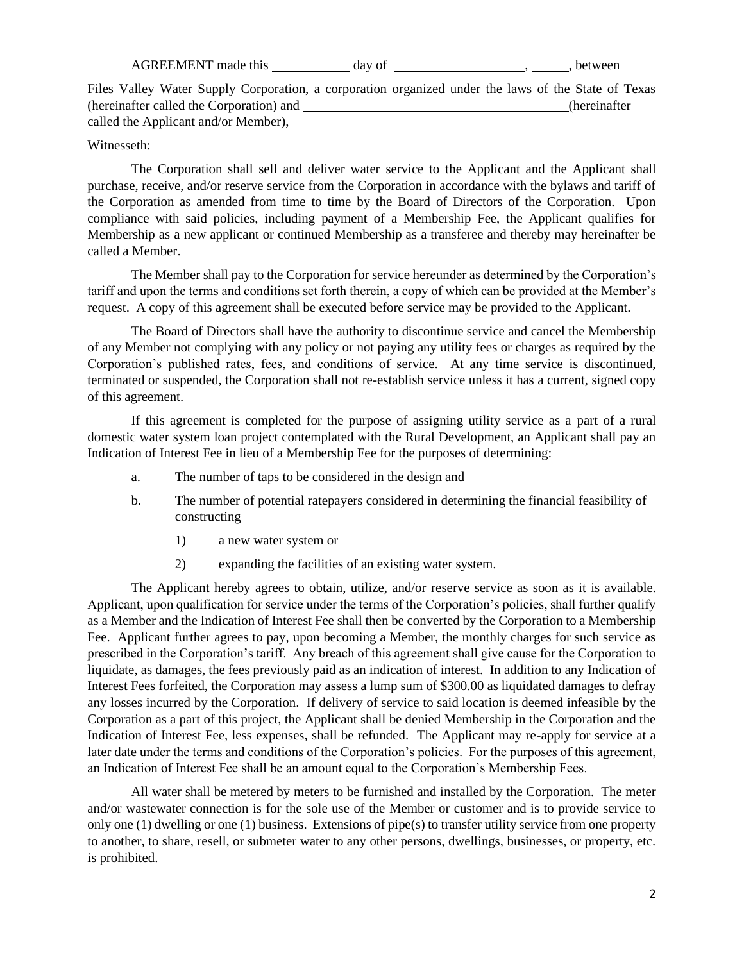AGREEMENT made this day of , the set of the set of the set of  $\alpha$ , between

Files Valley Water Supply Corporation, a corporation organized under the laws of the State of Texas (hereinafter called the Corporation) and **EXEC 2008** (hereinafter called the Applicant and/or Member),

## Witnesseth:

The Corporation shall sell and deliver water service to the Applicant and the Applicant shall purchase, receive, and/or reserve service from the Corporation in accordance with the bylaws and tariff of the Corporation as amended from time to time by the Board of Directors of the Corporation. Upon compliance with said policies, including payment of a Membership Fee, the Applicant qualifies for Membership as a new applicant or continued Membership as a transferee and thereby may hereinafter be called a Member.

The Member shall pay to the Corporation for service hereunder as determined by the Corporation's tariff and upon the terms and conditions set forth therein, a copy of which can be provided at the Member's request. A copy of this agreement shall be executed before service may be provided to the Applicant.

The Board of Directors shall have the authority to discontinue service and cancel the Membership of any Member not complying with any policy or not paying any utility fees or charges as required by the Corporation's published rates, fees, and conditions of service. At any time service is discontinued, terminated or suspended, the Corporation shall not re-establish service unless it has a current, signed copy of this agreement.

If this agreement is completed for the purpose of assigning utility service as a part of a rural domestic water system loan project contemplated with the Rural Development, an Applicant shall pay an Indication of Interest Fee in lieu of a Membership Fee for the purposes of determining:

- a. The number of taps to be considered in the design and
- b. The number of potential ratepayers considered in determining the financial feasibility of constructing
	- 1) a new water system or
	- 2) expanding the facilities of an existing water system.

The Applicant hereby agrees to obtain, utilize, and/or reserve service as soon as it is available. Applicant, upon qualification for service under the terms of the Corporation's policies, shall further qualify as a Member and the Indication of Interest Fee shall then be converted by the Corporation to a Membership Fee. Applicant further agrees to pay, upon becoming a Member, the monthly charges for such service as prescribed in the Corporation's tariff. Any breach of this agreement shall give cause for the Corporation to liquidate, as damages, the fees previously paid as an indication of interest. In addition to any Indication of Interest Fees forfeited, the Corporation may assess a lump sum of \$300.00 as liquidated damages to defray any losses incurred by the Corporation. If delivery of service to said location is deemed infeasible by the Corporation as a part of this project, the Applicant shall be denied Membership in the Corporation and the Indication of Interest Fee, less expenses, shall be refunded. The Applicant may re-apply for service at a later date under the terms and conditions of the Corporation's policies. For the purposes of this agreement, an Indication of Interest Fee shall be an amount equal to the Corporation's Membership Fees.

All water shall be metered by meters to be furnished and installed by the Corporation. The meter and/or wastewater connection is for the sole use of the Member or customer and is to provide service to only one (1) dwelling or one (1) business. Extensions of pipe(s) to transfer utility service from one property to another, to share, resell, or submeter water to any other persons, dwellings, businesses, or property, etc. is prohibited.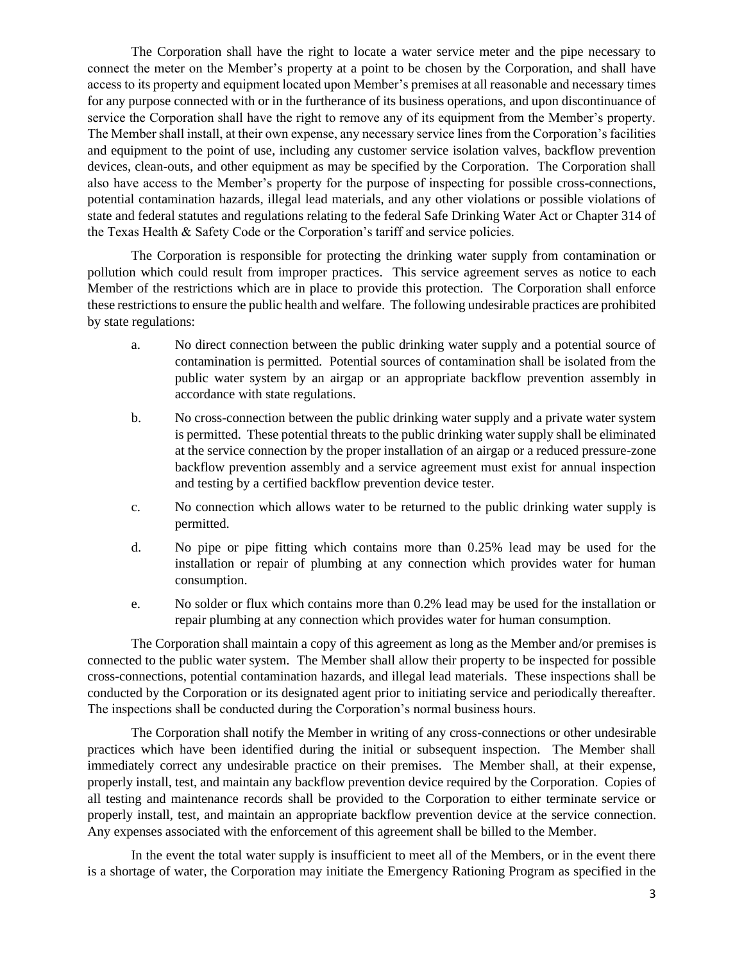The Corporation shall have the right to locate a water service meter and the pipe necessary to connect the meter on the Member's property at a point to be chosen by the Corporation, and shall have access to its property and equipment located upon Member's premises at all reasonable and necessary times for any purpose connected with or in the furtherance of its business operations, and upon discontinuance of service the Corporation shall have the right to remove any of its equipment from the Member's property. The Member shall install, at their own expense, any necessary service lines from the Corporation's facilities and equipment to the point of use, including any customer service isolation valves, backflow prevention devices, clean-outs, and other equipment as may be specified by the Corporation. The Corporation shall also have access to the Member's property for the purpose of inspecting for possible cross-connections, potential contamination hazards, illegal lead materials, and any other violations or possible violations of state and federal statutes and regulations relating to the federal Safe Drinking Water Act or Chapter 314 of the Texas Health & Safety Code or the Corporation's tariff and service policies.

The Corporation is responsible for protecting the drinking water supply from contamination or pollution which could result from improper practices. This service agreement serves as notice to each Member of the restrictions which are in place to provide this protection. The Corporation shall enforce these restrictions to ensure the public health and welfare. The following undesirable practices are prohibited by state regulations:

- a. No direct connection between the public drinking water supply and a potential source of contamination is permitted. Potential sources of contamination shall be isolated from the public water system by an airgap or an appropriate backflow prevention assembly in accordance with state regulations.
- b. No cross-connection between the public drinking water supply and a private water system is permitted. These potential threats to the public drinking water supply shall be eliminated at the service connection by the proper installation of an airgap or a reduced pressure-zone backflow prevention assembly and a service agreement must exist for annual inspection and testing by a certified backflow prevention device tester.
- c. No connection which allows water to be returned to the public drinking water supply is permitted.
- d. No pipe or pipe fitting which contains more than 0.25% lead may be used for the installation or repair of plumbing at any connection which provides water for human consumption.
- e. No solder or flux which contains more than 0.2% lead may be used for the installation or repair plumbing at any connection which provides water for human consumption.

The Corporation shall maintain a copy of this agreement as long as the Member and/or premises is connected to the public water system. The Member shall allow their property to be inspected for possible cross-connections, potential contamination hazards, and illegal lead materials. These inspections shall be conducted by the Corporation or its designated agent prior to initiating service and periodically thereafter. The inspections shall be conducted during the Corporation's normal business hours.

The Corporation shall notify the Member in writing of any cross-connections or other undesirable practices which have been identified during the initial or subsequent inspection. The Member shall immediately correct any undesirable practice on their premises. The Member shall, at their expense, properly install, test, and maintain any backflow prevention device required by the Corporation. Copies of all testing and maintenance records shall be provided to the Corporation to either terminate service or properly install, test, and maintain an appropriate backflow prevention device at the service connection. Any expenses associated with the enforcement of this agreement shall be billed to the Member.

In the event the total water supply is insufficient to meet all of the Members, or in the event there is a shortage of water, the Corporation may initiate the Emergency Rationing Program as specified in the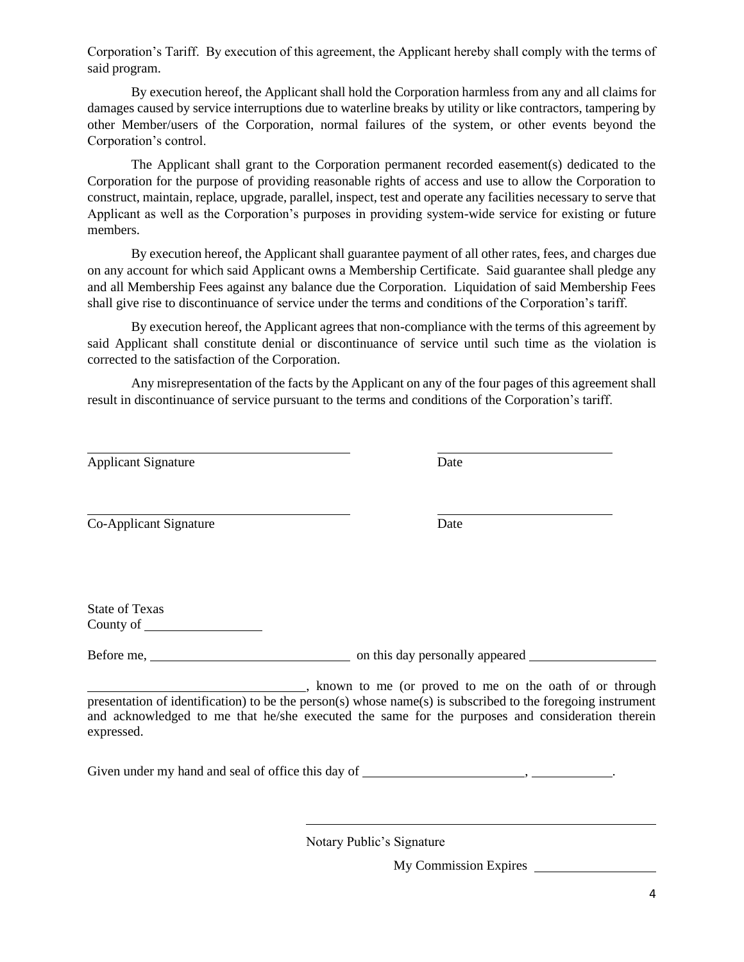Corporation's Tariff. By execution of this agreement, the Applicant hereby shall comply with the terms of said program.

By execution hereof, the Applicant shall hold the Corporation harmless from any and all claims for damages caused by service interruptions due to waterline breaks by utility or like contractors, tampering by other Member/users of the Corporation, normal failures of the system, or other events beyond the Corporation's control.

The Applicant shall grant to the Corporation permanent recorded easement(s) dedicated to the Corporation for the purpose of providing reasonable rights of access and use to allow the Corporation to construct, maintain, replace, upgrade, parallel, inspect, test and operate any facilities necessary to serve that Applicant as well as the Corporation's purposes in providing system-wide service for existing or future members.

By execution hereof, the Applicant shall guarantee payment of all other rates, fees, and charges due on any account for which said Applicant owns a Membership Certificate. Said guarantee shall pledge any and all Membership Fees against any balance due the Corporation. Liquidation of said Membership Fees shall give rise to discontinuance of service under the terms and conditions of the Corporation's tariff.

By execution hereof, the Applicant agrees that non-compliance with the terms of this agreement by said Applicant shall constitute denial or discontinuance of service until such time as the violation is corrected to the satisfaction of the Corporation.

Any misrepresentation of the facts by the Applicant on any of the four pages of this agreement shall result in discontinuance of service pursuant to the terms and conditions of the Corporation's tariff.

Applicant Signature Date

Co-Applicant Signature Date

State of Texas County of

Before me, <u>see all a set of the set of the set of the set of the set of the set of the set of the set of the set of the set of the set of the set of the set of the set of the set of the set of the set of the set of the se</u>

, known to me (or proved to me on the oath of or through presentation of identification) to be the person(s) whose name(s) is subscribed to the foregoing instrument and acknowledged to me that he/she executed the same for the purposes and consideration therein expressed.

Given under my hand and seal of office this day of , .

Notary Public's Signature

My Commission Expires